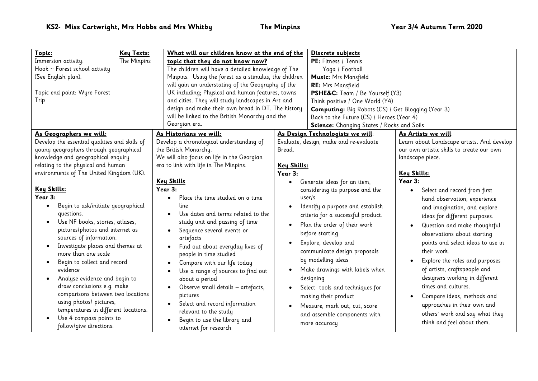| Topic:<br>Immersion activity:<br>Hook ~ Forest school activity<br>(See English plan).<br>Topic end point: Wyre Forest<br>Trip                                                                                                                                                                                                                                                                                                                                                                                                                                                                                                                                                                                                                                                                                                 | Key Texts:<br>What will our children know at the end of the<br>The Minpins<br>topic that they do not know now?<br>The children will have a detailed knowledge of The<br>Minpins. Using the forest as a stimulus, the children<br>will gain an understating of the Geography of the<br>UK including; Physical and human features, towns<br>and cities. They will study landscapes in Art and<br>design and make their own bread in DT. The history<br>will be linked to the British Monarchy and the<br>Georgian era.                                                                                                                                                                                                                               |                                                                                   | Discrete subjects<br>PE: Fitness / Tennis<br>Yoga / Football<br><b>Music:</b> Mrs Mansfield<br>RE: Mrs Mansfield<br>PSHE&C: Team / Be Yourself (Y3)<br>Think positive / One World (Y4)<br><b>Computing:</b> Big Robots (CS) / Get Blogging (Year 3)<br>Back to the Future (CS) / Heroes (Year 4)<br>Science: Changing States / Rocks and Soils                                                                                                                                                                                                      |                                                                                                                                                                                                                                                                                                                                                                                                                                                                                                                                                                                                                                                                                              |
|-------------------------------------------------------------------------------------------------------------------------------------------------------------------------------------------------------------------------------------------------------------------------------------------------------------------------------------------------------------------------------------------------------------------------------------------------------------------------------------------------------------------------------------------------------------------------------------------------------------------------------------------------------------------------------------------------------------------------------------------------------------------------------------------------------------------------------|----------------------------------------------------------------------------------------------------------------------------------------------------------------------------------------------------------------------------------------------------------------------------------------------------------------------------------------------------------------------------------------------------------------------------------------------------------------------------------------------------------------------------------------------------------------------------------------------------------------------------------------------------------------------------------------------------------------------------------------------------|-----------------------------------------------------------------------------------|-----------------------------------------------------------------------------------------------------------------------------------------------------------------------------------------------------------------------------------------------------------------------------------------------------------------------------------------------------------------------------------------------------------------------------------------------------------------------------------------------------------------------------------------------------|----------------------------------------------------------------------------------------------------------------------------------------------------------------------------------------------------------------------------------------------------------------------------------------------------------------------------------------------------------------------------------------------------------------------------------------------------------------------------------------------------------------------------------------------------------------------------------------------------------------------------------------------------------------------------------------------|
| As Geographers we will:<br>Develop the essential qualities and skills of<br>young geographers through geographical<br>knowledge and geographical enquiry<br>relating to the physical and human<br>environments of The United Kingdom (UK).<br>Key Skills:<br>Year 3:<br>Begin to ask/initiate geographical<br>$\bullet$<br>questions.<br>Use NF books, stories, atlases,<br>$\bullet$<br>pictures/photos and internet as<br>sources of information.<br>Investigate places and themes at<br>$\bullet$<br>more than one scale<br>Begin to collect and record<br>evidence<br>Analyse evidence and begin to<br>$\bullet$<br>draw conclusions e.g. make<br>comparisons between two locations<br>using photos/ pictures,<br>temperatures in different locations.<br>Use 4 compass points to<br>$\bullet$<br>follow/give directions: | As Historians we will:<br>Develop a chronological understanding of<br>the British Monarchy.<br>We will also focus on life in the Georgian<br>era to link with life in The Minpins.<br><b>Key Skills</b><br>Year 3:<br>Place the time studied on a time<br>$\bullet$<br>line<br>Use dates and terms related to the<br>study unit and passing of time<br>Sequence several events or<br>artefacts<br>Find out about everyday lives of<br>$\bullet$<br>people in time studied<br>Compare with our life today<br>Use a range of sources to find out<br>about a period<br>Observe small details - artefacts,<br>pictures<br>Select and record information<br>$\bullet$<br>relevant to the study<br>Begin to use the library and<br>internet for research | Bread.<br>Key Skills:<br>Year 3:<br>$\bullet$<br>user/s<br>$\bullet$<br>$\bullet$ | As Design Technologists we will:<br>Evaluate, design, make and re-evaluate<br>Generate ideas for an item,<br>considering its purpose and the<br>Identify a purpose and establish<br>criteria for a successful product.<br>Plan the order of their work<br>before starting<br>Explore, develop and<br>communicate design proposals<br>by modelling ideas<br>Make drawings with labels when<br>designing<br>Select tools and techniques for<br>making their product<br>Measure, mark out, cut, score<br>and assemble components with<br>more accuracy | As Artists we will:<br>Learn about Landscape artists. And develop<br>our own artistic skills to create our own<br>landscape piece.<br><u>Key Skills:</u><br>Year 3:<br>Select and record from first<br>$\bullet$<br>hand observation, experience<br>and imagination, and explore<br>ideas for different purposes.<br>Question and make thoughtful<br>observations about starting<br>points and select ideas to use in<br>their work.<br>Explore the roles and purposes<br>of artists, craftspeople and<br>designers working in different<br>times and cultures.<br>Compare ideas, methods and<br>approaches in their own and<br>others' work and say what they<br>think and feel about them. |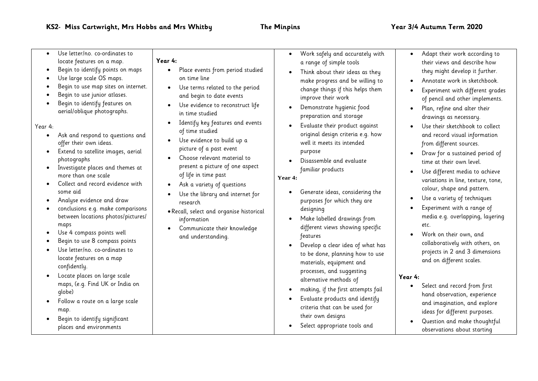| Use letter/no. co-ordinates to<br>locate features on a map.<br>Begin to identify points on maps<br>Use large scale OS maps.<br>Begin to use map sites on internet.<br>Begin to use junior atlases.<br>Begin to identify features on<br>aerial/oblique photographs.<br>Year 4:<br>Ask and respond to questions and<br>offer their own ideas.<br>Extend to satellite images, aerial<br>photographs<br>Investigate places and themes at<br>$\bullet$<br>more than one scale<br>Collect and record evidence with<br>some aid<br>Analyse evidence and draw<br>conclusions e.g. make comparisons<br>between locations photos/pictures/<br>maps<br>Use 4 compass points well<br>Begin to use 8 compass points<br>Use letter/no. co-ordinates to<br>locate features on a map<br>confidently.<br>Locate places on large scale<br>maps, (e.g. Find UK or India on<br>qlobe)<br>Follow a route on a large scale<br>map.<br>Begin to identify significant<br>places and environments | Year 4:<br>Place events from period studied<br>on time line<br>Use terms related to the period<br>$\bullet$<br>and begin to date events<br>Use evidence to reconstruct life<br>in time studied<br>Identify key features and events<br>of time studied<br>Use evidence to build up a<br>$\bullet$<br>picture of a past event<br>Choose relevant material to<br>present a picture of one aspect<br>of life in time past<br>Ask a variety of questions<br>Use the library and internet for<br>research<br>. Recall, select and organise historical<br>information<br>Communicate their knowledge<br>and understanding. | Work safely and accurately with<br>a range of simple tools<br>Think about their ideas as they<br>$\bullet$<br>make progress and be willing to<br>change things if this helps them<br>improve their work<br>Demonstrate hygienic food<br>preparation and storage<br>Evaluate their product against<br>$\bullet$<br>original design criteria e.g. how<br>well it meets its intended<br>purpose<br>Disassemble and evaluate<br>familiar products<br>Year 4:<br>Generate ideas, considering the<br>purposes for which they are<br>designing<br>Make labelled drawings from<br>different views showing specific<br>features<br>Develop a clear idea of what has<br>to be done, planning how to use<br>materials, equipment and<br>processes, and suggesting<br>alternative methods of<br>making, if the first attempts fail<br>Evaluate products and identify<br>criteria that can be used for<br>their own designs<br>Select appropriate tools and | Adapt their work according to<br>their views and describe how<br>they might develop it further.<br>Annotate work in sketchbook.<br>Experiment with different grades<br>of pencil and other implements.<br>Plan, refine and alter their<br>drawings as necessary.<br>Use their sketchbook to collect<br>and record visual information<br>from different sources.<br>Draw for a sustained period of<br>time at their own level.<br>Use different media to achieve<br>variations in line, texture, tone,<br>colour, shape and pattern.<br>Use a variety of techniques<br>Experiment with a range of<br>media e.g. overlapping, layering<br>etc.<br>Work on their own, and<br>collaboratively with others, on<br>projects in 2 and 3 dimensions<br>and on different scales.<br>Year 4:<br>Select and record from first<br>hand observation, experience<br>and imagination, and explore<br>ideas for different purposes.<br>Question and make thoughtful<br>observations about starting |
|--------------------------------------------------------------------------------------------------------------------------------------------------------------------------------------------------------------------------------------------------------------------------------------------------------------------------------------------------------------------------------------------------------------------------------------------------------------------------------------------------------------------------------------------------------------------------------------------------------------------------------------------------------------------------------------------------------------------------------------------------------------------------------------------------------------------------------------------------------------------------------------------------------------------------------------------------------------------------|---------------------------------------------------------------------------------------------------------------------------------------------------------------------------------------------------------------------------------------------------------------------------------------------------------------------------------------------------------------------------------------------------------------------------------------------------------------------------------------------------------------------------------------------------------------------------------------------------------------------|------------------------------------------------------------------------------------------------------------------------------------------------------------------------------------------------------------------------------------------------------------------------------------------------------------------------------------------------------------------------------------------------------------------------------------------------------------------------------------------------------------------------------------------------------------------------------------------------------------------------------------------------------------------------------------------------------------------------------------------------------------------------------------------------------------------------------------------------------------------------------------------------------------------------------------------------|------------------------------------------------------------------------------------------------------------------------------------------------------------------------------------------------------------------------------------------------------------------------------------------------------------------------------------------------------------------------------------------------------------------------------------------------------------------------------------------------------------------------------------------------------------------------------------------------------------------------------------------------------------------------------------------------------------------------------------------------------------------------------------------------------------------------------------------------------------------------------------------------------------------------------------------------------------------------------------|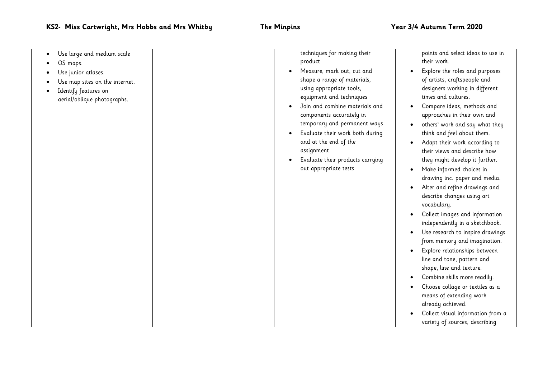| Use large and medium scale<br>OS maps.<br>Use junior atlases.<br>Use map sites on the internet.<br>Identify features on<br>aerial/oblique photographs. | techniques for making their<br>product<br>Measure, mark out, cut and<br>shape a range of materials,<br>using appropriate tools,<br>equipment and techniques<br>Join and combine materials and<br>components accurately in<br>temporary and permanent ways<br>Evaluate their work both during<br>and at the end of the<br>assignment<br>Evaluate their products carrying<br>out appropriate tests | points and select ideas to use in<br>their work.<br>Explore the roles and purposes<br>of artists, craftspeople and<br>designers working in different<br>times and cultures.<br>Compare ideas, methods and<br>approaches in their own and<br>others' work and say what they<br>think and feel about them.<br>Adapt their work according to<br>their views and describe how<br>they might develop it further.<br>Make informed choices in<br>drawing inc. paper and media.<br>Alter and refine drawings and<br>describe changes using art<br>vocabulary.<br>Collect images and information<br>independently in a sketchbook.<br>Use research to inspire drawings<br>from memory and imagination.<br>Explore relationships between<br>line and tone, pattern and<br>shape, line and texture.<br>Combine skills more readily.<br>Choose collage or textiles as a<br>means of extending work<br>already achieved.<br>Collect visual information from a |
|--------------------------------------------------------------------------------------------------------------------------------------------------------|--------------------------------------------------------------------------------------------------------------------------------------------------------------------------------------------------------------------------------------------------------------------------------------------------------------------------------------------------------------------------------------------------|---------------------------------------------------------------------------------------------------------------------------------------------------------------------------------------------------------------------------------------------------------------------------------------------------------------------------------------------------------------------------------------------------------------------------------------------------------------------------------------------------------------------------------------------------------------------------------------------------------------------------------------------------------------------------------------------------------------------------------------------------------------------------------------------------------------------------------------------------------------------------------------------------------------------------------------------------|
|                                                                                                                                                        |                                                                                                                                                                                                                                                                                                                                                                                                  | variety of sources, describing                                                                                                                                                                                                                                                                                                                                                                                                                                                                                                                                                                                                                                                                                                                                                                                                                                                                                                                    |